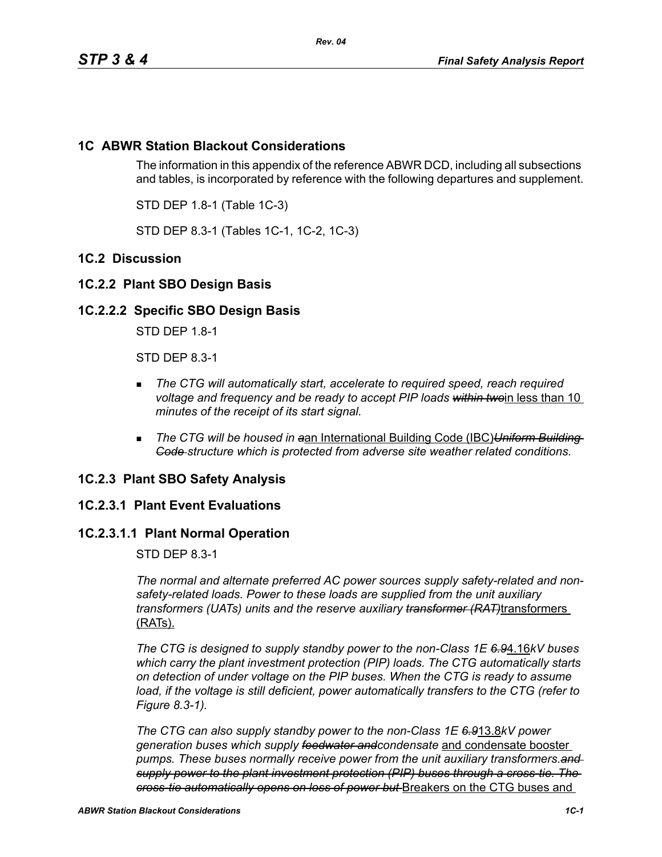# **1C ABWR Station Blackout Considerations**

The information in this appendix of the reference ABWR DCD, including all subsections and tables, is incorporated by reference with the following departures and supplement.

STD DEP 1.8-1 (Table 1C-3)

STD DEP 8.3-1 (Tables 1C-1, 1C-2, 1C-3)

## **1C.2 Discussion**

## **1C.2.2 Plant SBO Design Basis**

## **1C.2.2.2 Specific SBO Design Basis**

STD DEP 1.8-1

STD DEP 8.3-1

- *The CTG will automatically start, accelerate to required speed, reach required voltage and frequency and be ready to accept PIP loads within twoin less than 10 minutes of the receipt of its start signal.*
- *The CTG will be housed in a*an International Building Code (IBC)*Uniform Building Code structure which is protected from adverse site weather related conditions.*

## **1C.2.3 Plant SBO Safety Analysis**

## **1C.2.3.1 Plant Event Evaluations**

## **1C.2.3.1.1 Plant Normal Operation**

STD DEP 8.3-1

*The normal and alternate preferred AC power sources supply safety-related and nonsafety-related loads. Power to these loads are supplied from the unit auxiliary transformers (UATs) units and the reserve auxiliary transformer (RAT)*transformers (RATs).

*The CTG is designed to supply standby power to the non-Class 1E 6.9*4.16*kV buses which carry the plant investment protection (PIP) loads. The CTG automatically starts on detection of under voltage on the PIP buses. When the CTG is ready to assume load, if the voltage is still deficient, power automatically transfers to the CTG (refer to Figure 8.3-1).*

*The CTG can also supply standby power to the non-Class 1E 6.9*13.8*kV power generation buses which supply feedwater andcondensate* and condensate booster *pumps. These buses normally receive power from the unit auxiliary transformers.and supply power to the plant investment protection (PIP) buses through a cross-tie. The cross-tie automatically opens on loss of power but* Breakers on the CTG buses and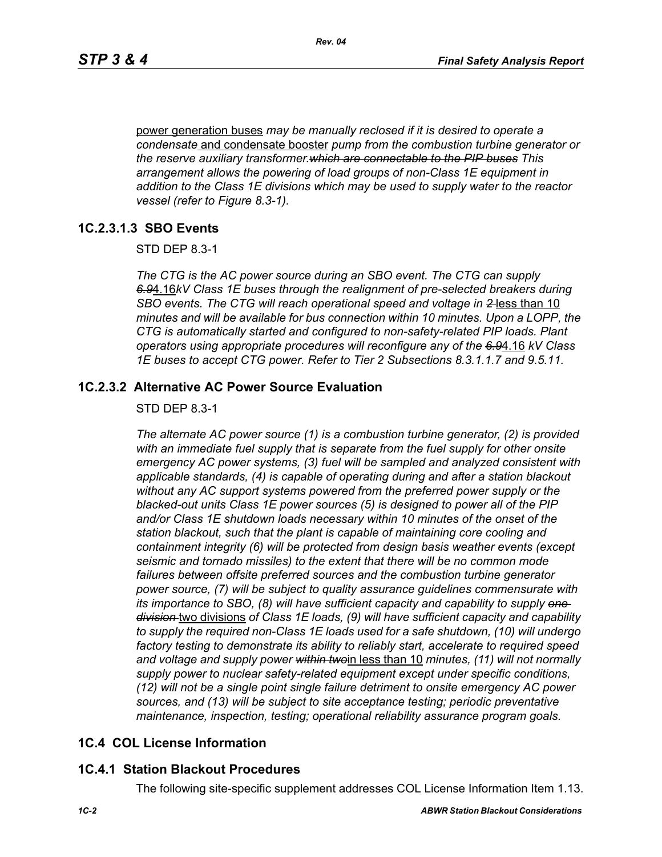power generation buses *may be manually reclosed if it is desired to operate a condensate* and condensate booster *pump from the combustion turbine generator or the reserve auxiliary transformer.which are connectable to the PIP buses This arrangement allows the powering of load groups of non-Class 1E equipment in addition to the Class 1E divisions which may be used to supply water to the reactor vessel (refer to Figure 8.3-1).*

#### **1C.2.3.1.3 SBO Events**

STD DEP 8.3-1

*The CTG is the AC power source during an SBO event. The CTG can supply 6.9*4.16*kV Class 1E buses through the realignment of pre-selected breakers during SBO events. The CTG will reach operational speed and voltage in 2* less than 10 *minutes and will be available for bus connection within 10 minutes. Upon a LOPP, the CTG is automatically started and configured to non-safety-related PIP loads. Plant operators using appropriate procedures will reconfigure any of the 6.9*4.16 *kV Class 1E buses to accept CTG power. Refer to Tier 2 Subsections 8.3.1.1.7 and 9.5.11.*

## **1C.2.3.2 Alternative AC Power Source Evaluation**

STD DEP 8.3-1

*The alternate AC power source (1) is a combustion turbine generator, (2) is provided with an immediate fuel supply that is separate from the fuel supply for other onsite emergency AC power systems, (3) fuel will be sampled and analyzed consistent with applicable standards, (4) is capable of operating during and after a station blackout without any AC support systems powered from the preferred power supply or the blacked-out units Class 1E power sources (5) is designed to power all of the PIP and/or Class 1E shutdown loads necessary within 10 minutes of the onset of the station blackout, such that the plant is capable of maintaining core cooling and containment integrity (6) will be protected from design basis weather events (except seismic and tornado missiles) to the extent that there will be no common mode failures between offsite preferred sources and the combustion turbine generator power source, (7) will be subject to quality assurance guidelines commensurate with its importance to SBO, (8) will have sufficient capacity and capability to supply one division* two divisions *of Class 1E loads, (9) will have sufficient capacity and capability to supply the required non-Class 1E loads used for a safe shutdown, (10) will undergo factory testing to demonstrate its ability to reliably start, accelerate to required speed and voltage and supply power within two*in less than 10 *minutes, (11) will not normally supply power to nuclear safety-related equipment except under specific conditions, (12) will not be a single point single failure detriment to onsite emergency AC power sources, and (13) will be subject to site acceptance testing; periodic preventative maintenance, inspection, testing; operational reliability assurance program goals.*

## **1C.4 COL License Information**

#### **1C.4.1 Station Blackout Procedures**

The following site-specific supplement addresses COL License Information Item 1.13.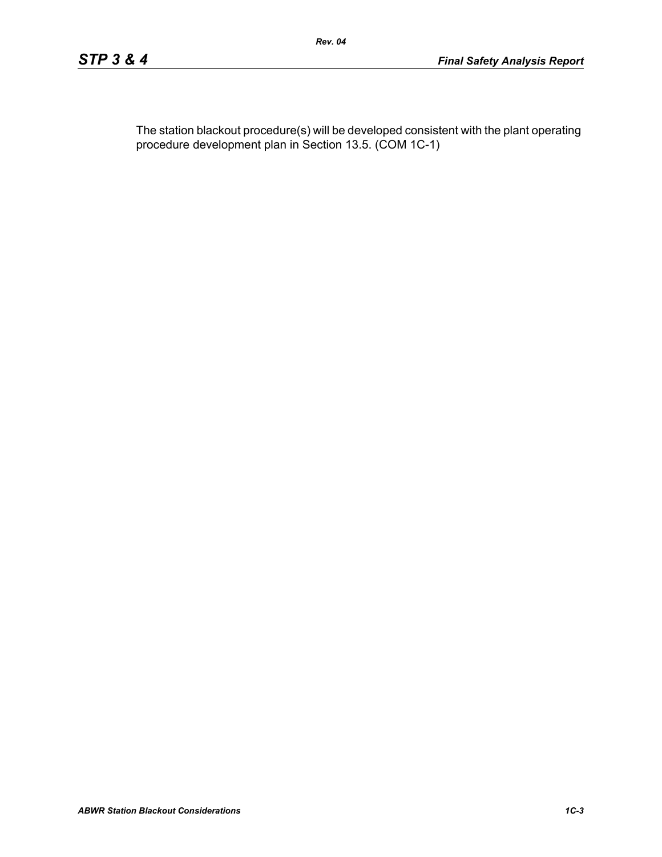The station blackout procedure(s) will be developed consistent with the plant operating procedure development plan in Section 13.5. (COM 1C-1)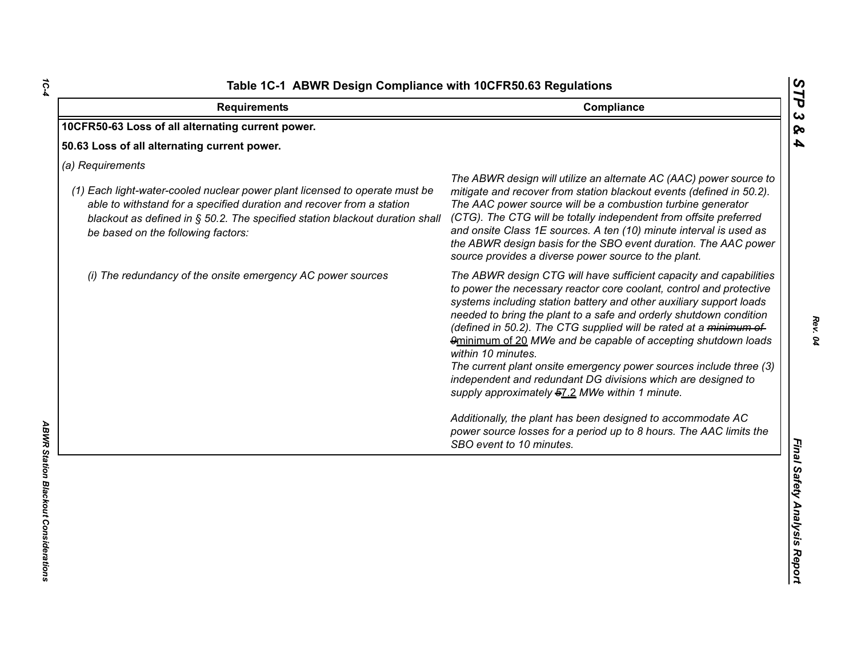| 10CFR50-63 Loss of all alternating current power.<br>(1) Each light-water-cooled nuclear power plant licensed to operate must be                                                            | The ABWR design will utilize an alternate AC (AAC) power source to                                                                                                                                                                                                                                                                                                                                                                                                                                                                                                                                                                                                                                                                                                                                          |
|---------------------------------------------------------------------------------------------------------------------------------------------------------------------------------------------|-------------------------------------------------------------------------------------------------------------------------------------------------------------------------------------------------------------------------------------------------------------------------------------------------------------------------------------------------------------------------------------------------------------------------------------------------------------------------------------------------------------------------------------------------------------------------------------------------------------------------------------------------------------------------------------------------------------------------------------------------------------------------------------------------------------|
| 50.63 Loss of all alternating current power.<br>(a) Requirements                                                                                                                            |                                                                                                                                                                                                                                                                                                                                                                                                                                                                                                                                                                                                                                                                                                                                                                                                             |
|                                                                                                                                                                                             |                                                                                                                                                                                                                                                                                                                                                                                                                                                                                                                                                                                                                                                                                                                                                                                                             |
| able to withstand for a specified duration and recover from a station<br>blackout as defined in § 50.2. The specified station blackout duration shall<br>be based on the following factors: | mitigate and recover from station blackout events (defined in 50.2).<br>The AAC power source will be a combustion turbine generator<br>(CTG). The CTG will be totally independent from offsite preferred<br>and onsite Class 1E sources. A ten (10) minute interval is used as<br>the ABWR design basis for the SBO event duration. The AAC power<br>source provides a diverse power source to the plant.                                                                                                                                                                                                                                                                                                                                                                                                   |
| (i) The redundancy of the onsite emergency AC power sources                                                                                                                                 | The ABWR design CTG will have sufficient capacity and capabilities<br>to power the necessary reactor core coolant, control and protective<br>systems including station battery and other auxiliary support loads<br>needed to bring the plant to a safe and orderly shutdown condition<br>(defined in 50.2). The CTG supplied will be rated at a minimum of<br>9minimum of 20 MWe and be capable of accepting shutdown loads<br>within 10 minutes.<br>The current plant onsite emergency power sources include three (3)<br>independent and redundant DG divisions which are designed to<br>supply approximately 57.2 MWe within 1 minute.<br>Additionally, the plant has been designed to accommodate AC<br>power source losses for a period up to 8 hours. The AAC limits the<br>SBO event to 10 minutes. |

*1C-4*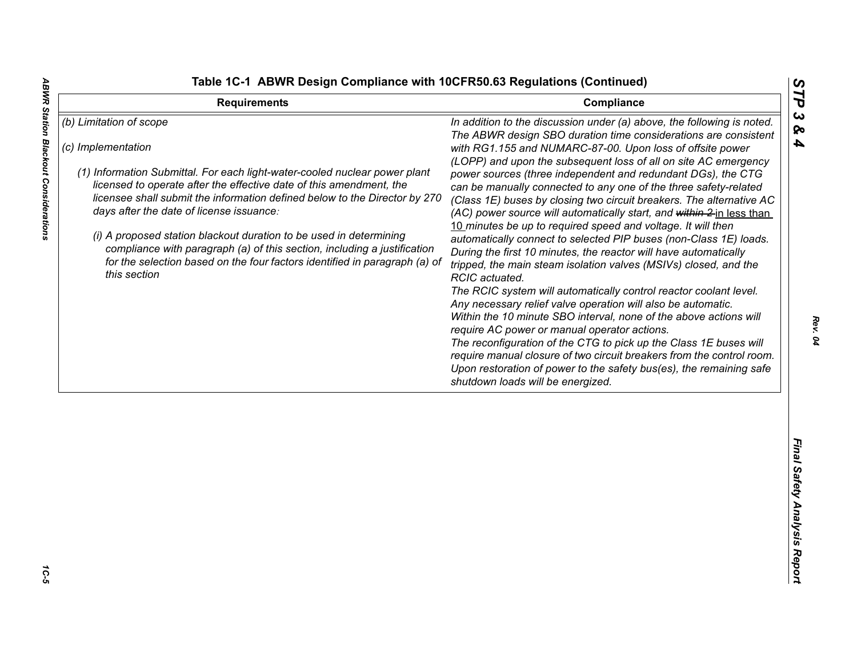**ABWR Station Blackout Considerations** 

|  |  | able 1C-1 ABWR Design Compliance with 10CFR50.63 Regulations (Continued) |  |  |  |
|--|--|--------------------------------------------------------------------------|--|--|--|
|--|--|--------------------------------------------------------------------------|--|--|--|

| <b>Requirements</b>                                                                                                                                                                                                                                                                                                                                                                                                                                                                                                                                                          | Compliance                                                                                                                                                                                                                                                                                                                                                                                                                                                                                                                                                                                                                                                                                                                                                                                                                                                                                                                                                                                                                                                                                                                                                                                                                                                                                                                                                                        | ĽP                              |
|------------------------------------------------------------------------------------------------------------------------------------------------------------------------------------------------------------------------------------------------------------------------------------------------------------------------------------------------------------------------------------------------------------------------------------------------------------------------------------------------------------------------------------------------------------------------------|-----------------------------------------------------------------------------------------------------------------------------------------------------------------------------------------------------------------------------------------------------------------------------------------------------------------------------------------------------------------------------------------------------------------------------------------------------------------------------------------------------------------------------------------------------------------------------------------------------------------------------------------------------------------------------------------------------------------------------------------------------------------------------------------------------------------------------------------------------------------------------------------------------------------------------------------------------------------------------------------------------------------------------------------------------------------------------------------------------------------------------------------------------------------------------------------------------------------------------------------------------------------------------------------------------------------------------------------------------------------------------------|---------------------------------|
| (b) Limitation of scope<br>(c) Implementation<br>(1) Information Submittal. For each light-water-cooled nuclear power plant<br>licensed to operate after the effective date of this amendment, the<br>licensee shall submit the information defined below to the Director by 270<br>days after the date of license issuance:<br>(i) A proposed station blackout duration to be used in determining<br>compliance with paragraph (a) of this section, including a justification<br>for the selection based on the four factors identified in paragraph (a) of<br>this section | In addition to the discussion under (a) above, the following is noted.<br>The ABWR design SBO duration time considerations are consistent<br>with RG1.155 and NUMARC-87-00. Upon loss of offsite power<br>(LOPP) and upon the subsequent loss of all on site AC emergency<br>power sources (three independent and redundant DGs), the CTG<br>can be manually connected to any one of the three safety-related<br>(Class 1E) buses by closing two circuit breakers. The alternative AC<br>(AC) power source will automatically start, and within 2 in less than<br>10 minutes be up to required speed and voltage. It will then<br>automatically connect to selected PIP buses (non-Class 1E) loads.<br>During the first 10 minutes, the reactor will have automatically<br>tripped, the main steam isolation valves (MSIVs) closed, and the<br>RCIC actuated.<br>The RCIC system will automatically control reactor coolant level.<br>Any necessary relief valve operation will also be automatic.<br>Within the 10 minute SBO interval, none of the above actions will<br>require AC power or manual operator actions.<br>The reconfiguration of the CTG to pick up the Class 1E buses will<br>require manual closure of two circuit breakers from the control room.<br>Upon restoration of power to the safety bus(es), the remaining safe<br>shutdown loads will be energized. | $\boldsymbol{\omega}$<br>ଚ<br>4 |
|                                                                                                                                                                                                                                                                                                                                                                                                                                                                                                                                                                              |                                                                                                                                                                                                                                                                                                                                                                                                                                                                                                                                                                                                                                                                                                                                                                                                                                                                                                                                                                                                                                                                                                                                                                                                                                                                                                                                                                                   | Final Safety Analysis Report    |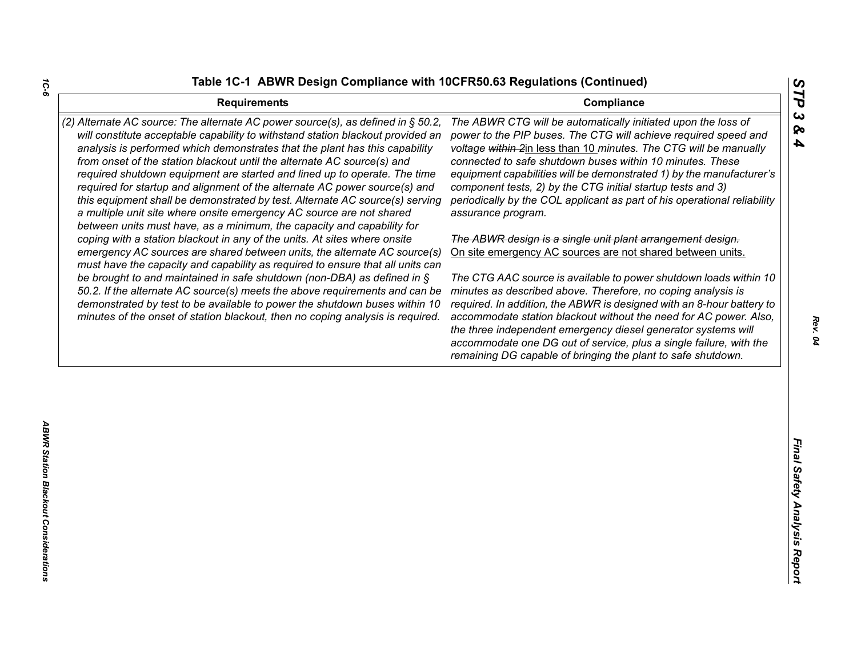| <b>Requirements</b>                                                                                                                                                                                                                                                                                                                                                                                                                                                                                                                                                                                                                                                                                                        | STP<br>Compliance                                                                                                                                                                                                                                                                                                                                                                                                                                                                                                                                |
|----------------------------------------------------------------------------------------------------------------------------------------------------------------------------------------------------------------------------------------------------------------------------------------------------------------------------------------------------------------------------------------------------------------------------------------------------------------------------------------------------------------------------------------------------------------------------------------------------------------------------------------------------------------------------------------------------------------------------|--------------------------------------------------------------------------------------------------------------------------------------------------------------------------------------------------------------------------------------------------------------------------------------------------------------------------------------------------------------------------------------------------------------------------------------------------------------------------------------------------------------------------------------------------|
| (2) Alternate AC source: The alternate AC power source(s), as defined in § 50.2,<br>will constitute acceptable capability to withstand station blackout provided an<br>analysis is performed which demonstrates that the plant has this capability<br>from onset of the station blackout until the alternate AC source(s) and<br>required shutdown equipment are started and lined up to operate. The time<br>required for startup and alignment of the alternate AC power source(s) and<br>this equipment shall be demonstrated by test. Alternate AC source(s) serving<br>a multiple unit site where onsite emergency AC source are not shared<br>between units must have, as a minimum, the capacity and capability for | $\boldsymbol{\omega}$<br>The ABWR CTG will be automatically initiated upon the loss of<br>ଚ୍ଚ<br>power to the PIP buses. The CTG will achieve required speed and<br>4<br>voltage within 2in less than 10 minutes. The CTG will be manually<br>connected to safe shutdown buses within 10 minutes. These<br>equipment capabilities will be demonstrated 1) by the manufacturer's<br>component tests, 2) by the CTG initial startup tests and 3)<br>periodically by the COL applicant as part of his operational reliability<br>assurance program. |
| coping with a station blackout in any of the units. At sites where onsite<br>emergency AC sources are shared between units, the alternate AC source(s)                                                                                                                                                                                                                                                                                                                                                                                                                                                                                                                                                                     | The ABWR design is a single unit plant arrangement design.<br>On site emergency AC sources are not shared between units.                                                                                                                                                                                                                                                                                                                                                                                                                         |
| must have the capacity and capability as required to ensure that all units can<br>be brought to and maintained in safe shutdown (non-DBA) as defined in $\S$<br>50.2. If the alternate AC source(s) meets the above requirements and can be<br>demonstrated by test to be available to power the shutdown buses within 10<br>minutes of the onset of station blackout, then no coping analysis is required.                                                                                                                                                                                                                                                                                                                | The CTG AAC source is available to power shutdown loads within 10<br>minutes as described above. Therefore, no coping analysis is<br>required. In addition, the ABWR is designed with an 8-hour battery to<br>accommodate station blackout without the need for AC power. Also,<br>the three independent emergency diesel generator systems will<br>accommodate one DG out of service, plus a single failure, with the<br>remaining DG capable of bringing the plant to safe shutdown.                                                           |
|                                                                                                                                                                                                                                                                                                                                                                                                                                                                                                                                                                                                                                                                                                                            |                                                                                                                                                                                                                                                                                                                                                                                                                                                                                                                                                  |
|                                                                                                                                                                                                                                                                                                                                                                                                                                                                                                                                                                                                                                                                                                                            | Final Safety Analysis Report                                                                                                                                                                                                                                                                                                                                                                                                                                                                                                                     |
|                                                                                                                                                                                                                                                                                                                                                                                                                                                                                                                                                                                                                                                                                                                            |                                                                                                                                                                                                                                                                                                                                                                                                                                                                                                                                                  |

*1C-6*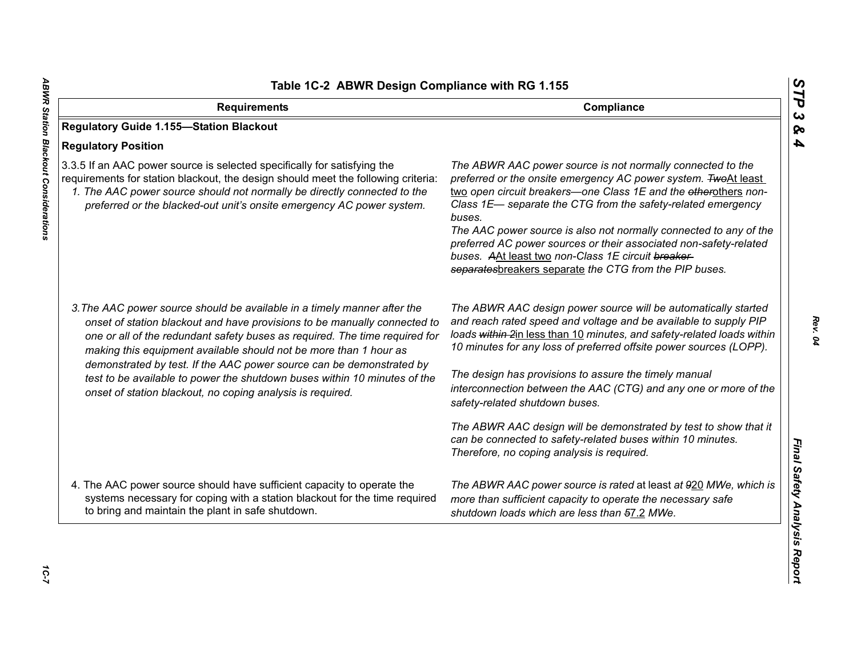| Table 1C-2 ABWR Design Compliance with RG 1.155                                                                                                                                                                                                                                                                                                                                   |                                                                                                                                                                                                                                                                                                                                                                                                                                                                                                                                     |
|-----------------------------------------------------------------------------------------------------------------------------------------------------------------------------------------------------------------------------------------------------------------------------------------------------------------------------------------------------------------------------------|-------------------------------------------------------------------------------------------------------------------------------------------------------------------------------------------------------------------------------------------------------------------------------------------------------------------------------------------------------------------------------------------------------------------------------------------------------------------------------------------------------------------------------------|
| <b>Requirements</b>                                                                                                                                                                                                                                                                                                                                                               | Compliance                                                                                                                                                                                                                                                                                                                                                                                                                                                                                                                          |
| <b>Regulatory Guide 1.155-Station Blackout</b>                                                                                                                                                                                                                                                                                                                                    |                                                                                                                                                                                                                                                                                                                                                                                                                                                                                                                                     |
| <b>Regulatory Position</b>                                                                                                                                                                                                                                                                                                                                                        |                                                                                                                                                                                                                                                                                                                                                                                                                                                                                                                                     |
| 3.3.5 If an AAC power source is selected specifically for satisfying the<br>requirements for station blackout, the design should meet the following criteria:<br>1. The AAC power source should not normally be directly connected to the<br>preferred or the blacked-out unit's onsite emergency AC power system.                                                                | The ABWR AAC power source is not normally connected to the<br>preferred or the onsite emergency AC power system. TwoAt least<br>two open circuit breakers-one Class 1E and the etherothers non-<br>Class 1E- separate the CTG from the safety-related emergency<br>buses.<br>The AAC power source is also not normally connected to any of the<br>preferred AC power sources or their associated non-safety-related<br>buses. AAt least two non-Class 1E circuit breaker-<br>separatesbreakers separate the CTG from the PIP buses. |
| 3. The AAC power source should be available in a timely manner after the<br>onset of station blackout and have provisions to be manually connected to<br>one or all of the redundant safety buses as required. The time required for<br>making this equipment available should not be more than 1 hour as<br>demonstrated by test. If the AAC power source can be demonstrated by | The ABWR AAC design power source will be automatically started<br>and reach rated speed and voltage and be available to supply PIP<br>loads within 2in less than 10 minutes, and safety-related loads within<br>10 minutes for any loss of preferred offsite power sources (LOPP).<br>The design has provisions to assure the timely manual                                                                                                                                                                                         |
| test to be available to power the shutdown buses within 10 minutes of the<br>onset of station blackout, no coping analysis is required.                                                                                                                                                                                                                                           | interconnection between the AAC (CTG) and any one or more of the<br>safety-related shutdown buses.                                                                                                                                                                                                                                                                                                                                                                                                                                  |
|                                                                                                                                                                                                                                                                                                                                                                                   | The ABWR AAC design will be demonstrated by test to show that it<br>can be connected to safety-related buses within 10 minutes.<br>Therefore, no coping analysis is required.                                                                                                                                                                                                                                                                                                                                                       |
| 4. The AAC power source should have sufficient capacity to operate the<br>systems necessary for coping with a station blackout for the time required<br>to bring and maintain the plant in safe shutdown.                                                                                                                                                                         | The ABWR AAC power source is rated at least at 920 MWe, which is<br>more than sufficient capacity to operate the necessary safe<br>shutdown loads which are less than 57.2 MWe.                                                                                                                                                                                                                                                                                                                                                     |

*STP 3 & 4*

10-7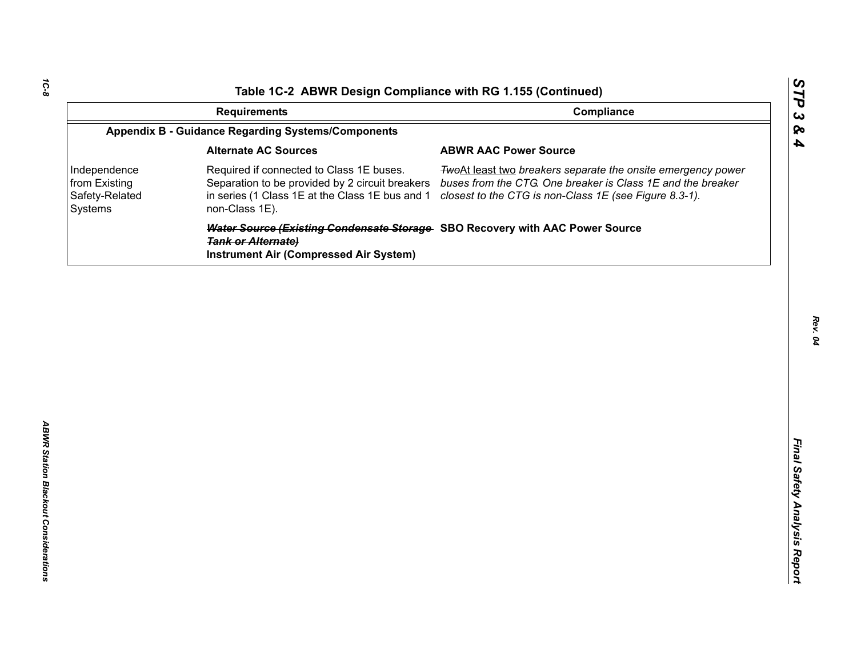| Compliance<br><b>Requirements</b><br><b>Appendix B - Guidance Regarding Systems/Components</b><br><b>Alternate AC Sources</b><br><b>ABWR AAC Power Source</b><br>Required if connected to Class 1E buses.<br>Independence<br>from Existing<br>Separation to be provided by 2 circuit breakers<br>Safety-Related<br>in series (1 Class 1E at the Class 1E bus and 1<br>closest to the CTG is non-Class 1E (see Figure 8.3-1).<br>non-Class 1E).<br>Systems | TwoAt least two breakers separate the onsite emergency power<br>buses from the CTG. One breaker is Class 1E and the breaker<br>Water Source (Existing Condensate Storage SBO Recovery with AAC Power Source | Table 1C-2 ABWR Design Compliance with RG 1.155 (Continued) |  |
|-----------------------------------------------------------------------------------------------------------------------------------------------------------------------------------------------------------------------------------------------------------------------------------------------------------------------------------------------------------------------------------------------------------------------------------------------------------|-------------------------------------------------------------------------------------------------------------------------------------------------------------------------------------------------------------|-------------------------------------------------------------|--|
|                                                                                                                                                                                                                                                                                                                                                                                                                                                           |                                                                                                                                                                                                             |                                                             |  |
|                                                                                                                                                                                                                                                                                                                                                                                                                                                           |                                                                                                                                                                                                             |                                                             |  |
|                                                                                                                                                                                                                                                                                                                                                                                                                                                           |                                                                                                                                                                                                             |                                                             |  |
|                                                                                                                                                                                                                                                                                                                                                                                                                                                           |                                                                                                                                                                                                             |                                                             |  |
| <b>Tank or Alternate)</b><br><b>Instrument Air (Compressed Air System)</b>                                                                                                                                                                                                                                                                                                                                                                                |                                                                                                                                                                                                             |                                                             |  |
|                                                                                                                                                                                                                                                                                                                                                                                                                                                           |                                                                                                                                                                                                             |                                                             |  |
|                                                                                                                                                                                                                                                                                                                                                                                                                                                           |                                                                                                                                                                                                             |                                                             |  |
|                                                                                                                                                                                                                                                                                                                                                                                                                                                           |                                                                                                                                                                                                             |                                                             |  |
|                                                                                                                                                                                                                                                                                                                                                                                                                                                           |                                                                                                                                                                                                             |                                                             |  |
|                                                                                                                                                                                                                                                                                                                                                                                                                                                           |                                                                                                                                                                                                             |                                                             |  |
|                                                                                                                                                                                                                                                                                                                                                                                                                                                           |                                                                                                                                                                                                             |                                                             |  |
|                                                                                                                                                                                                                                                                                                                                                                                                                                                           |                                                                                                                                                                                                             |                                                             |  |
|                                                                                                                                                                                                                                                                                                                                                                                                                                                           |                                                                                                                                                                                                             |                                                             |  |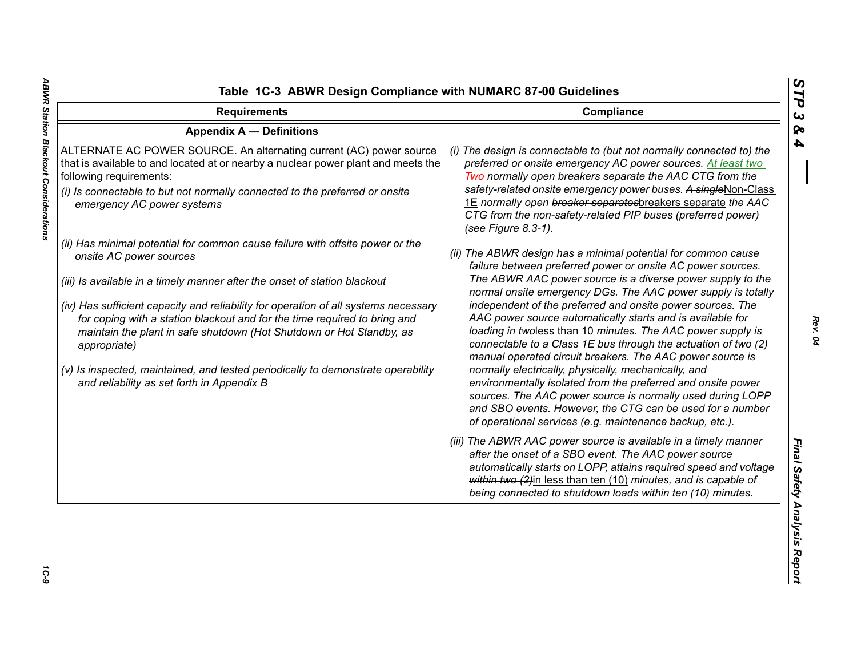| <b>Requirements</b>                                                                                                                                                                                                                                                                              | Compliance                                                                                                                                                                                                                                                                                                                                                                                                                     |
|--------------------------------------------------------------------------------------------------------------------------------------------------------------------------------------------------------------------------------------------------------------------------------------------------|--------------------------------------------------------------------------------------------------------------------------------------------------------------------------------------------------------------------------------------------------------------------------------------------------------------------------------------------------------------------------------------------------------------------------------|
| <b>Appendix A - Definitions</b>                                                                                                                                                                                                                                                                  |                                                                                                                                                                                                                                                                                                                                                                                                                                |
| ALTERNATE AC POWER SOURCE. An alternating current (AC) power source<br>that is available to and located at or nearby a nuclear power plant and meets the<br>following requirements:<br>(i) Is connectable to but not normally connected to the preferred or onsite<br>emergency AC power systems | (i) The design is connectable to (but not normally connected to) the<br>preferred or onsite emergency AC power sources. At least two<br><b>Two-normally open breakers separate the AAC CTG from the</b><br>safety-related onsite emergency power buses. A singleNon-Class<br>1E normally open breaker separatesbreakers separate the AAC<br>CTG from the non-safety-related PIP buses (preferred power)<br>(see Figure 8.3-1). |
| (ii) Has minimal potential for common cause failure with offsite power or the<br>onsite AC power sources                                                                                                                                                                                         | (ii) The ABWR design has a minimal potential for common cause<br>failure between preferred power or onsite AC power sources.                                                                                                                                                                                                                                                                                                   |
| (iii) Is available in a timely manner after the onset of station blackout                                                                                                                                                                                                                        | The ABWR AAC power source is a diverse power supply to the<br>normal onsite emergency DGs. The AAC power supply is totally                                                                                                                                                                                                                                                                                                     |
| (iv) Has sufficient capacity and reliability for operation of all systems necessary<br>for coping with a station blackout and for the time required to bring and<br>maintain the plant in safe shutdown (Hot Shutdown or Hot Standby, as<br>appropriate)                                         | independent of the preferred and onsite power sources. The<br>AAC power source automatically starts and is available for<br>loading in twoless than 10 minutes. The AAC power supply is<br>connectable to a Class 1E bus through the actuation of two (2)<br>manual operated circuit breakers. The AAC power source is                                                                                                         |
| (v) Is inspected, maintained, and tested periodically to demonstrate operability<br>and reliability as set forth in Appendix B                                                                                                                                                                   | normally electrically, physically, mechanically, and<br>environmentally isolated from the preferred and onsite power<br>sources. The AAC power source is normally used during LOPP<br>and SBO events. However, the CTG can be used for a number<br>of operational services (e.g. maintenance backup, etc.).                                                                                                                    |
|                                                                                                                                                                                                                                                                                                  | (iii) The ABWR AAC power source is available in a timely manner<br>after the onset of a SBO event. The AAC power source<br>automatically starts on LOPP, attains required speed and voltage<br>within two (2)in less than ten (10) minutes, and is capable of<br>being connected to shutdown loads within ten (10) minutes.                                                                                                    |